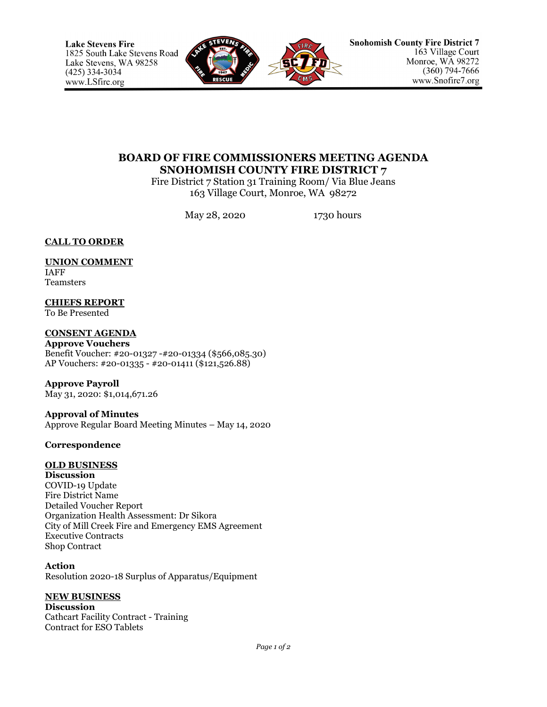

# **BOARD OF FIRE COMMISSIONERS MEETING AGENDA SNOHOMISH COUNTY FIRE DISTRICT 7**

Fire District 7 Station 31 Training Room/ Via Blue Jeans 163 Village Court, Monroe, WA 98272

May 28, 2020 1730 hours

## **CALL TO ORDER**

## **UNION COMMENT**

IAFF Teamsters

**CHIEFS REPORT** To Be Presented

**CONSENT AGENDA Approve Vouchers** Benefit Voucher: #20-01327 -#20-01334 (\$566,085.30) AP Vouchers: #20-01335 - #20-01411 (\$121,526.88)

**Approve Payroll** May 31, 2020: \$1,014,671.26

**Approval of Minutes** Approve Regular Board Meeting Minutes – May 14, 2020

## **Correspondence**

## **OLD BUSINESS**

**Discussion** COVID-19 Update Fire District Name Detailed Voucher Report Organization Health Assessment: Dr Sikora City of Mill Creek Fire and Emergency EMS Agreement Executive Contracts Shop Contract

**Action** Resolution 2020-18 Surplus of Apparatus/Equipment

### **NEW BUSINESS**

**Discussion**  Cathcart Facility Contract - Training Contract for ESO Tablets